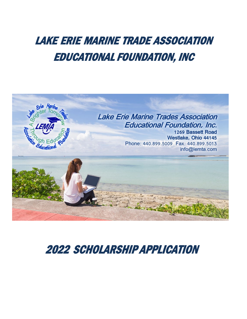# LAKE ERIE MARINE TRADE ASSOCIATION EDUCATIONAL FOUNDATION, INC



# 2022 SCHOLARSHIP APPLICATION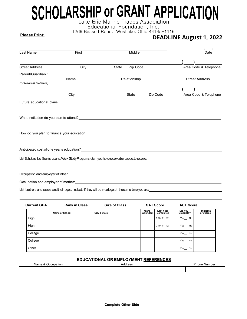# **SCHOLARSHIP OF GRANT APPLICATION**

1269 Bassett Road, Westlake, Ohio 44145-1116

## **Please Print:**

# **DEADLINE August 1, 2022**

| Last Name                          | First                                                                                                                                                                                                                          | Middle                                                    |          | Date                  |  |  |
|------------------------------------|--------------------------------------------------------------------------------------------------------------------------------------------------------------------------------------------------------------------------------|-----------------------------------------------------------|----------|-----------------------|--|--|
|                                    |                                                                                                                                                                                                                                |                                                           |          |                       |  |  |
| <b>Street Address</b>              | City                                                                                                                                                                                                                           | <b>State</b><br>Zip Code                                  |          | Area Code & Telephone |  |  |
|                                    | Parent/Guardian: Website the Contract of the Contract of the Contract of the Contract of the Contract of the Contract of the Contract of the Contract of the Contract of the Contract of the Contract of the Contract of the C |                                                           |          |                       |  |  |
| (or Nearest Relative)              | Name                                                                                                                                                                                                                           | Relationship                                              |          | <b>Street Address</b> |  |  |
|                                    |                                                                                                                                                                                                                                |                                                           |          |                       |  |  |
|                                    | City                                                                                                                                                                                                                           | State                                                     | Zip Code | Area Code & Telephone |  |  |
|                                    |                                                                                                                                                                                                                                |                                                           |          |                       |  |  |
|                                    |                                                                                                                                                                                                                                |                                                           |          |                       |  |  |
|                                    |                                                                                                                                                                                                                                |                                                           |          |                       |  |  |
|                                    |                                                                                                                                                                                                                                |                                                           |          |                       |  |  |
|                                    |                                                                                                                                                                                                                                |                                                           |          |                       |  |  |
|                                    | How do you plan to finance your education example and the state of the state of the state of the state of the                                                                                                                  |                                                           |          |                       |  |  |
|                                    | ,我们也不会有什么。""我们的人,我们也不会有什么?""我们的人,我们也不会有什么?""我们的人,我们也不会有什么?""我们的人,我们也不会有什么?""我们的人                                                                                                                                               |                                                           |          |                       |  |  |
|                                    |                                                                                                                                                                                                                                |                                                           |          |                       |  |  |
|                                    |                                                                                                                                                                                                                                |                                                           |          |                       |  |  |
|                                    |                                                                                                                                                                                                                                |                                                           |          |                       |  |  |
| Occupation and employer of father: |                                                                                                                                                                                                                                | <u> 1980 - Johann Barnett, fransk politiker (d. 1980)</u> |          |                       |  |  |
|                                    | Occupation and employer of mother: example and the control of the control of the control of the control of the control of the control of the control of the control of the control of the control of the control of the contro |                                                           |          |                       |  |  |
|                                    |                                                                                                                                                                                                                                |                                                           |          |                       |  |  |

List brothers and sisters and their ages. Indicate if they will be in college at the same time you are:

| <b>Current GPA</b> | <b>Rank in Class</b>  | <b>Size of Class</b> |                          | <b>SAT Score</b>              | <b>ACT Score</b>     |                      |
|--------------------|-----------------------|----------------------|--------------------------|-------------------------------|----------------------|----------------------|
|                    | <b>Name of School</b> | City & State         | Years<br><b>Attended</b> | <b>Last Year</b><br>Completed | Did you<br>Graduate? | Diploma<br>or Degree |
| High               |                       |                      |                          | 9 10 11 12                    | Yes No               |                      |
| High               |                       |                      |                          | 9 10 11 12                    | Yes No               |                      |
| College            |                       |                      |                          |                               | Yes No               |                      |
| College            |                       |                      |                          |                               | Yes No               |                      |
| Other              |                       |                      |                          |                               | Yes No               |                      |

## **EDUCATIONAL OR EMPLOYMENT REFERENCES**

| Name & Occupation | Address | <b>Phone Number</b> |  |
|-------------------|---------|---------------------|--|
|                   |         |                     |  |
|                   |         |                     |  |
|                   |         |                     |  |
|                   |         |                     |  |
|                   |         |                     |  |
|                   |         |                     |  |